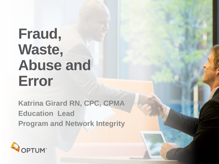## **Fraud, Waste, Abuse and Error**

**Katrina Girard RN, CPC, CPMA Education Lead Program and Network Integrity**

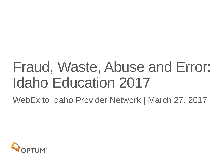## Fraud, Waste, Abuse and Error: Idaho Education 2017

WebEx to Idaho Provider Network | March 27, 2017

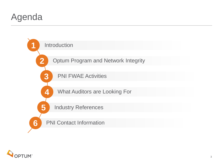## Agenda



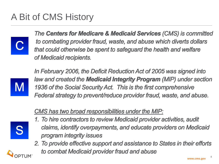## A Bit of CMS History



The Centers for Medicare & Medicaid Services (CMS) is committed to combating provider fraud, waste, and abuse which diverts dollars that could otherwise be spent to safeguard the health and welfare of Medicaid recipients.



In February 2006, the Deficit Reduction Act of 2005 was signed into law and created the **Medicaid Integrity Program** (MIP) under section 1936 of the Social Security Act. This is the first comprehensive Federal strategy to prevent/reduce provider fraud, waste, and abuse.

#### CMS has two broad responsibilities under the MIP:

- 1. To hire contractors to review Medicaid provider activities, audit claims, identify overpayments, and educate providers on Medicaid program integrity issues
- 2. To provide effective support and assistance to States in their efforts to combat Medicaid provider fraud and abuse

4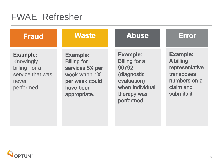### FWAE Refresher

| <b>Fraud</b>                                                                             | <b>Waste</b>                                                                                                            | <b>Abuse</b>                                                                                                                   | <b>Error</b>                                                                                             |
|------------------------------------------------------------------------------------------|-------------------------------------------------------------------------------------------------------------------------|--------------------------------------------------------------------------------------------------------------------------------|----------------------------------------------------------------------------------------------------------|
| <b>Example:</b><br>Knowingly<br>billing for a<br>service that was<br>never<br>performed. | <b>Example:</b><br><b>Billing for</b><br>services 5X per<br>week when 1X<br>per week could<br>have been<br>appropriate. | <b>Example:</b><br><b>Billing for a</b><br>90792<br>(diagnostic<br>evaluation)<br>when individual<br>therapy was<br>performed. | <b>Example:</b><br>A billing<br>representative<br>transposes<br>numbers on a<br>claim and<br>submits it. |

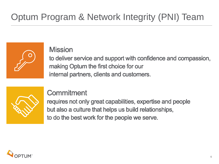**Mission** 



to deliver service and support with confidence and compassion, making Optum the first choice for our internal partners, clients and customers.



#### Commitment

requires not only great capabilities, expertise and people but also a culture that helps us build relationships, to do the best work for the people we serve.

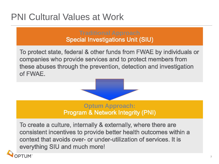## PNI Cultural Values at Work

## **Traditional Approach**

To protect state, federal & other funds from FWAE by individuals or companies who provide services and to protect members from these abuses through the prevention, detection and investigation of FWAE.



## **Optum Approach:**<br>**Program & Network Integrity (PNI)**

To create a culture, internally & externally, where there are consistent incentives to provide better health outcomes within a context that avoids over- or under-utilization of services. It is everything SIU and much more!

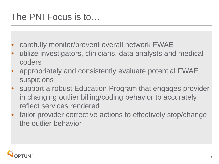### The PNI Focus is to…

- carefully monitor/prevent overall network FWAE
- utilize investigators, clinicians, data analysts and medical coders
- appropriately and consistently evaluate potential FWAE suspicions
- support a robust Education Program that engages provider in changing outlier billing/coding behavior to accurately reflect services rendered
- tailor provider corrective actions to effectively stop/change the outlier behavior

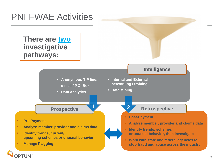### PNI FWAE Activities

**There are two investigative pathways:** 

**PTUM** 

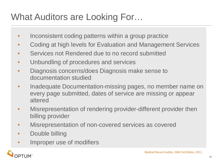## What Auditors are Looking For…

- Inconsistent coding patterns within a group practice
- Coding at high levels for Evaluation and Management Services
- Services not Rendered due to no record submitted
- Unbundling of procedures and services
- Diagnosis concerns/does Diagnosis make sense to documentation studied
- Inadequate Documentation-missing pages, no member name on every page submitted, dates of service are missing or appear altered
- Misrepresentation of rendering provider-different provider then billing provider
- Misrepresentation of non-covered services as covered
- Double billing
- Improper use of modifiers

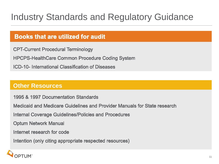## Industry Standards and Regulatory Guidance

#### **Books that are utilized for audit**

**CPT-Current Procedural Terminology** 

**HPCPS-HealthCare Common Procedure Coding System** 

ICD-10- International Classification of Diseases

#### **Other Resources**

1995 & 1997 Documentation Standards

Medicaid and Medicare Guidelines and Provider Manuals for State research

**Internal Coverage Guidelines/Policies and Procedures** 

**Optum Network Manual** 

Internet research for code

Intention (only citing appropriate respected resources)

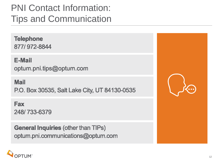## PNI Contact Information: Tips and Communication

**Telephone** 877/972-8844

**E-Mail** optum.pni.tips@optum.com

**Mail** 

P.O. Box 30535, Salt Lake City, UT 84130-0535

**Fax** 248/733-6379

**General Inquiries (other than TIPs)** optum.pni.communications@optum.com



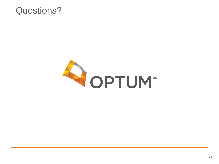### Questions?